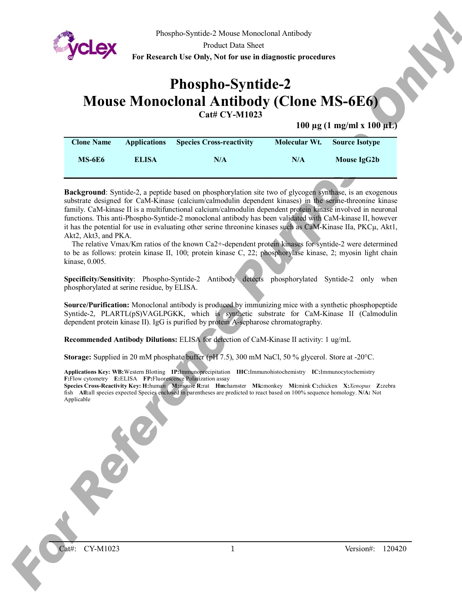

Phospho-Syntide-2 Mouse Monoclonal Antibody

Product Data Sheet

**For Research Use Only, Not for use in diagnostic procedures**

# **Phospho-Syntide-2 Mouse Monoclonal Antibody (Clone MS-6E6) Cat# CY-M1023**

**100 µg (1 mg/ml x 100 µL)**

| <b>Clone Name</b> | <b>Applications</b> | <b>Species Cross-reactivity</b> | Molecular Wt. | <b>Source Isotype</b> |
|-------------------|---------------------|---------------------------------|---------------|-----------------------|
| <b>MS-6E6</b>     | <b>ELISA</b>        | N/A                             | N/A           | Mouse IgG2b           |

**For Reference Purpose Only and the United States Constant Constant Constant Constant Constant Constant Constant Constant Constant Constant Constant Constant Constant Constant Constant Constant Constant Constant Constant C Background**: Syntide-2, a peptide based on phosphorylation site two of glycogen synthase, is an exogenous substrate designed for CaM-Kinase (calcium/calmodulin dependent kinases) in the serine-threonine kinase family. CaM-kinase II is a multifunctional calcium/calmodulin dependent protein kinase involved in neuronal functions. This anti-Phospho-Syntide-2 monoclonal antibody has been validated with CaM-kinase II, however it has the potential for use in evaluating other serine threonine kinases such as CaM-Kinase IIa, PKCµ, Akt1, Akt2, Akt3, and PKA.

The relative Vmax/Km ratios of the known Ca2+-dependent protein kinases for syntide-2 were determined to be as follows: protein kinase II, 100; protein kinase C, 22; phosphorylase kinase, 2; myosin light chain kinase, 0.005.

**Specificity/Sensitivity**: Phospho-Syntide-2 Antibody detects phosphorylated Syntide-2 only when phosphorylated at serine residue, by ELISA.

**Source/Purification:** Monoclonal antibody is produced by immunizing mice with a synthetic phosphopeptide Syntide-2, PLARTL(pS)VAGLPGKK, which is synthetic substrate for CaM-Kinase II (Calmodulin dependent protein kinase II). IgG is purified by protein A-sepharose chromatography.

**Recommended Antibody Dilutions:** ELISA for detection of CaM-Kinase II activity: 1 ug/mL

**Storage:** Supplied in 20 mM phosphate buffer (pH 7.5), 300 mM NaCl, 50 % glycerol. Store at -20°C.

**Applications Key: WB:**Western Blotting **IP:**Immunoprecipitation **IHC:**Immunohistochemistry **IC:**Immunocytochemistry **F:**Flow cytometry **E:**ELISA **FP:**Fluorescence Polarization assay

**Species Cross-Reactivity Key: H:**human **M:**mouse **R:**rat **Hm:**hamster **Mk:**monkey **Mi:**mink **C:**chicken **X:***Xenopus* **Z:**zebra fish **All:**all species expected Species enclosed in parentheses are predicted to react based on 100% sequence homology. **N/A:** Not Applicable